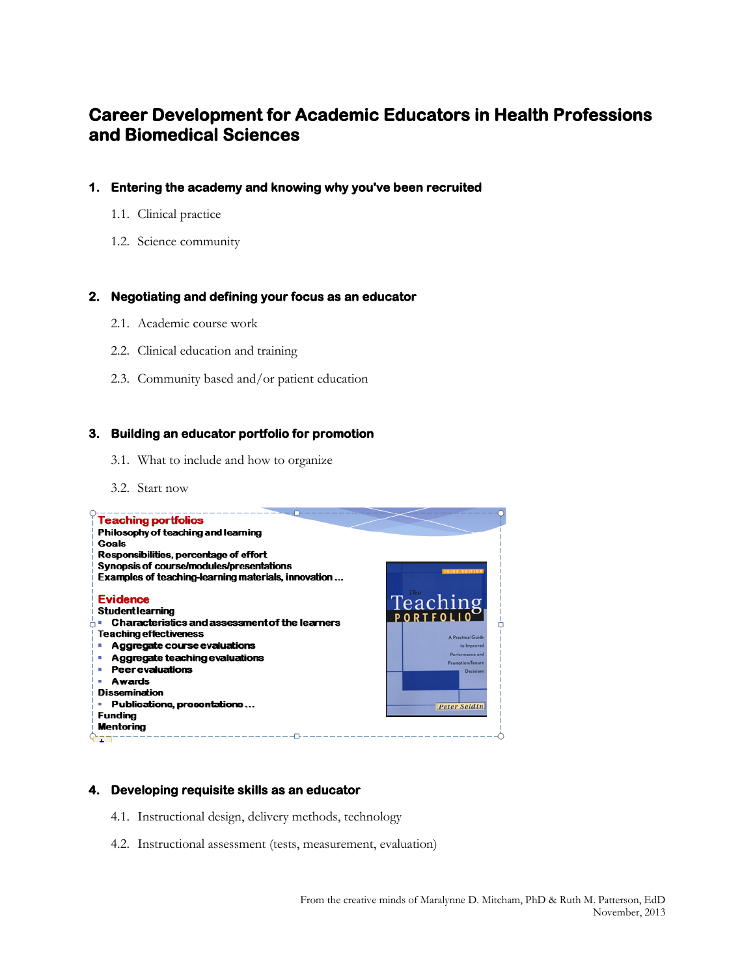# **Career Development for Academic Educators in Health Professions and Biomedical Sciences**

- **1. Entering the academy and knowing why you've been recruited** 
	- 1.1. Clinical practice
	- 1.2. Science community

## **2. Negotiating and defining your focus as an educator**

- 2.1. Academic course work
- 2.2. Clinical education and training
- 2.3. Community based and/or patient education

## **3. Building an educator portfolio for promotion**

- 3.1. What to include and how to organize
- 3.2. Start now



## **4. Developing requisite skills as an educator**

- 4.1. Instructional design, delivery methods, technology
- 4.2. Instructional assessment (tests, measurement, evaluation)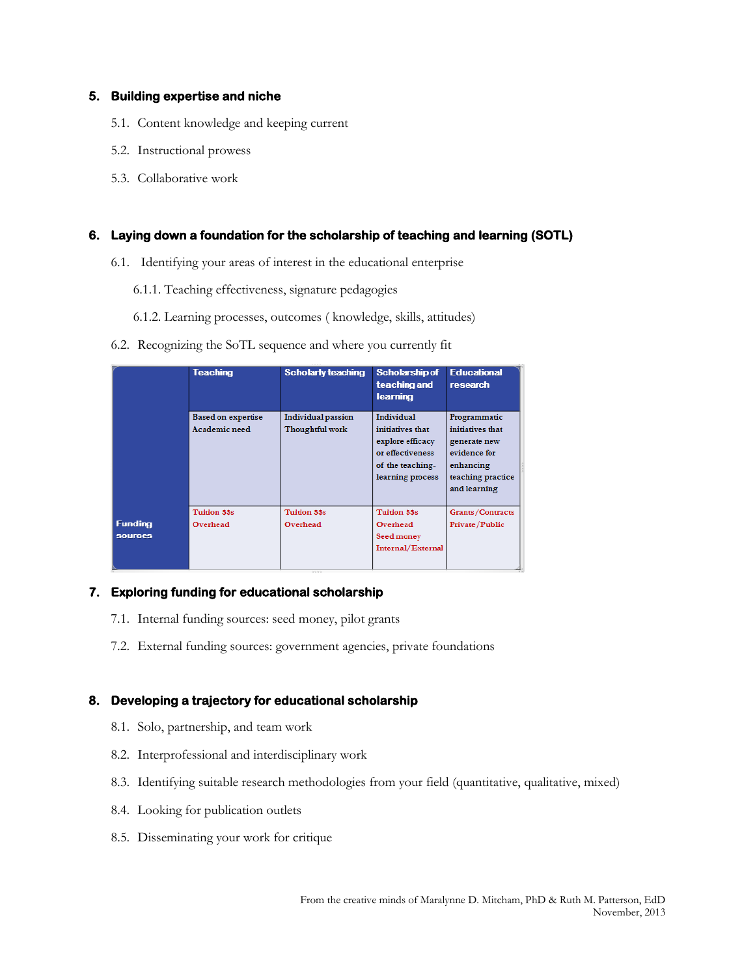## **5. Building expertise and niche**

- 5.1. Content knowledge and keeping current
- 5.2. Instructional prowess
- 5.3. Collaborative work

## **6. Laying down a foundation for the scholarship of teaching and learning (SOTL)**

- 6.1. Identifying your areas of interest in the educational enterprise
	- 6.1.1. Teaching effectiveness, signature pedagogies
	- 6.1.2. Learning processes, outcomes ( knowledge, skills, attitudes)
- 6.2. Recognizing the SoTL sequence and where you currently fit

|                                  | <b>Teaching</b>                            | <b>Scholarly teaching</b>                    | Scholarship of<br>teaching and<br>learning                                                                     | <b>Educational</b><br>research                                                                                     |
|----------------------------------|--------------------------------------------|----------------------------------------------|----------------------------------------------------------------------------------------------------------------|--------------------------------------------------------------------------------------------------------------------|
|                                  | <b>Based on expertise</b><br>Academic need | <b>Individual passion</b><br>Thoughtful work | Individual<br>initiatives that<br>explore efficacy<br>or effectiveness<br>of the teaching-<br>learning process | Programmatic<br>initiatives that<br>generate new<br>evidence for<br>enhancing<br>teaching practice<br>and learning |
| <b>Funding</b><br><b>SOUTCES</b> | <b>Tuition \$\$s</b><br>Overhead           | <b>Tuition \$\$s</b><br>Overhead             | <b>Tuition \$\$s</b><br>Overhead<br>Seed money<br>Internal/External                                            | <b>Grants/Contracts</b><br>Private/Public                                                                          |

## **7. Exploring funding for educational scholarship**

- 7.1. Internal funding sources: seed money, pilot grants
- 7.2. External funding sources: government agencies, private foundations

## **8. Developing a trajectory for educational scholarship**

- 8.1. Solo, partnership, and team work
- 8.2. Interprofessional and interdisciplinary work
- 8.3. Identifying suitable research methodologies from your field (quantitative, qualitative, mixed)
- 8.4. Looking for publication outlets
- 8.5. Disseminating your work for critique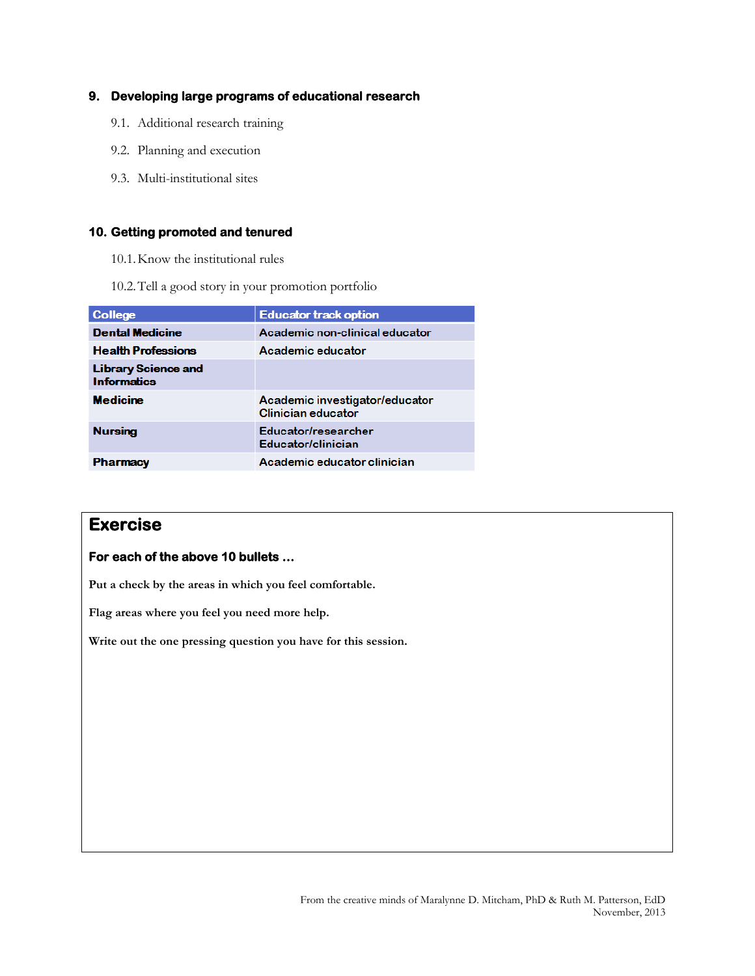## **9. Developing large programs of educational research**

- 9.1. Additional research training
- 9.2. Planning and execution
- 9.3. Multi-institutional sites

## **10. Getting promoted and tenured**

- 10.1.Know the institutional rules
- 10.2.Tell a good story in your promotion portfolio

| College                                          | <b>Educator track option</b>                         |  |
|--------------------------------------------------|------------------------------------------------------|--|
| <b>Dental Medicine</b>                           | Academic non-clinical educator                       |  |
| <b>Health Professions</b>                        | Academic educator                                    |  |
| <b>Library Science and</b><br><b>Informatics</b> |                                                      |  |
| <b>Medicine</b>                                  | Academic investigator/educator<br>Clinician educator |  |
| <b>Nursing</b>                                   | Educator/researcher<br>Educator/clinician            |  |
| <b>Pharmacy</b>                                  | Academic educator clinician                          |  |

## **Exercise**

## **For each of the above 10 bullets …**

**Put a check by the areas in which you feel comfortable.**

**Flag areas where you feel you need more help.**

**Write out the one pressing question you have for this session.**